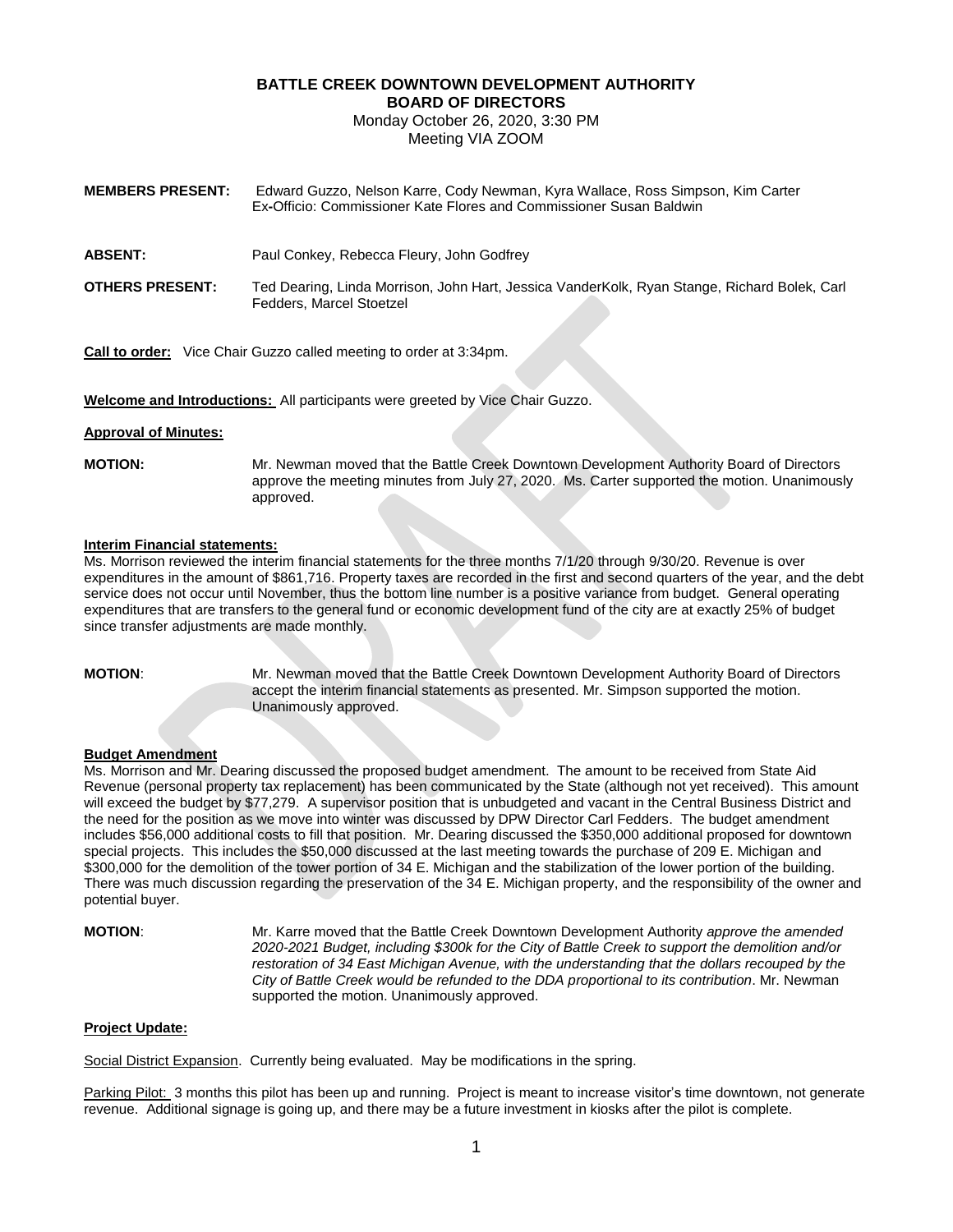# **BATTLE CREEK DOWNTOWN DEVELOPMENT AUTHORITY BOARD OF DIRECTORS**

Monday October 26, 2020, 3:30 PM Meeting VIA ZOOM

| <b>MEMBERS PRESENT:</b> | Edward Guzzo, Nelson Karre, Cody Newman, Kyra Wallace, Ross Simpson, Kim Carter<br>Ex-Officio: Commissioner Kate Flores and Commissioner Susan Baldwin |
|-------------------------|--------------------------------------------------------------------------------------------------------------------------------------------------------|
| <b>ABSENT:</b>          | Paul Conkey, Rebecca Fleury, John Godfrey                                                                                                              |
| <b>OTHERS PRESENT:</b>  | Ted Dearing, Linda Morrison, John Hart, Jessica VanderKolk, Ryan Stange, Richard Bolek, Carl<br>Fedders, Marcel Stoetzel                               |

**Call to order:** Vice Chair Guzzo called meeting to order at 3:34pm.

**Welcome and Introductions:** All participants were greeted by Vice Chair Guzzo.

### **Approval of Minutes:**

**MOTION:** Mr. Newman moved that the Battle Creek Downtown Development Authority Board of Directors approve the meeting minutes from July 27, 2020. Ms. Carter supported the motion. Unanimously approved.

## **Interim Financial statements:**

Ms. Morrison reviewed the interim financial statements for the three months 7/1/20 through 9/30/20. Revenue is over expenditures in the amount of \$861,716. Property taxes are recorded in the first and second quarters of the year, and the debt service does not occur until November, thus the bottom line number is a positive variance from budget. General operating expenditures that are transfers to the general fund or economic development fund of the city are at exactly 25% of budget since transfer adjustments are made monthly.

**MOTION**: Mr. Newman moved that the Battle Creek Downtown Development Authority Board of Directors accept the interim financial statements as presented. Mr. Simpson supported the motion. Unanimously approved.

### **Budget Amendment**

Ms. Morrison and Mr. Dearing discussed the proposed budget amendment. The amount to be received from State Aid Revenue (personal property tax replacement) has been communicated by the State (although not yet received). This amount will exceed the budget by \$77,279. A supervisor position that is unbudgeted and vacant in the Central Business District and the need for the position as we move into winter was discussed by DPW Director Carl Fedders. The budget amendment includes \$56,000 additional costs to fill that position. Mr. Dearing discussed the \$350,000 additional proposed for downtown special projects. This includes the \$50,000 discussed at the last meeting towards the purchase of 209 E. Michigan and \$300,000 for the demolition of the tower portion of 34 E. Michigan and the stabilization of the lower portion of the building. There was much discussion regarding the preservation of the 34 E. Michigan property, and the responsibility of the owner and potential buyer.

**MOTION**: Mr. Karre moved that the Battle Creek Downtown Development Authority *approve the amended 2020-2021 Budget, including \$300k for the City of Battle Creek to support the demolition and/or restoration of 34 East Michigan Avenue, with the understanding that the dollars recouped by the City of Battle Creek would be refunded to the DDA proportional to its contribution*. Mr. Newman supported the motion. Unanimously approved.

## **Project Update:**

Social District Expansion. Currently being evaluated. May be modifications in the spring.

Parking Pilot: 3 months this pilot has been up and running. Project is meant to increase visitor's time downtown, not generate revenue. Additional signage is going up, and there may be a future investment in kiosks after the pilot is complete.